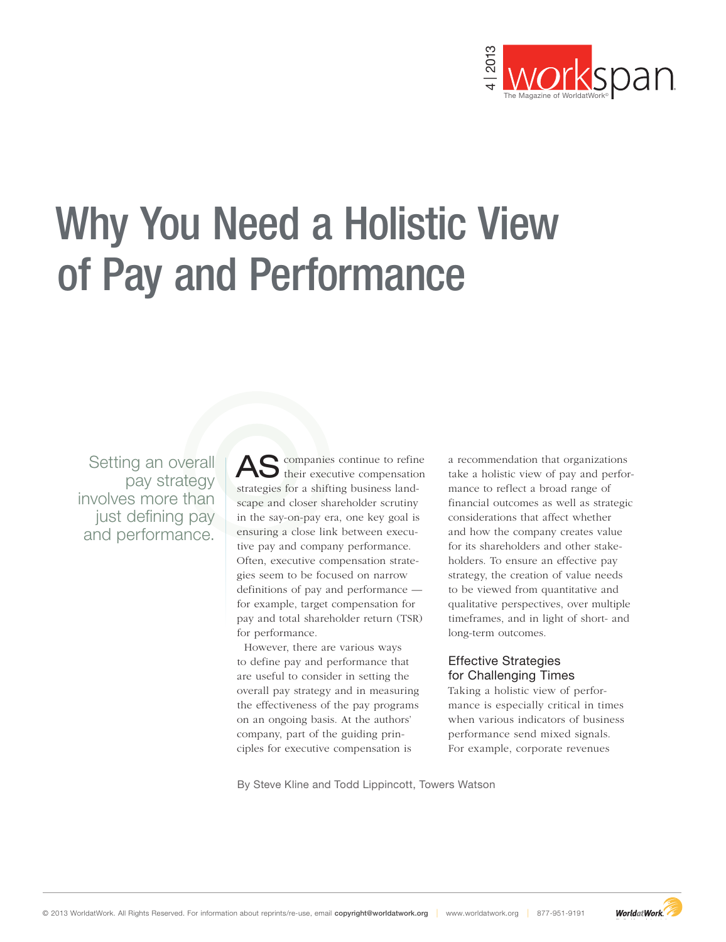

# **Example 2013** World about reprints about representation about representation about representation about representation about representation about representation about representation about representation  $\frac{1}{2}$  and  $\frac$ Why You Need a Holistic View of Pay and Performance

Setting an overall pay strategy involves more than just defining pay and performance.

AS companies continue to refine<br>
onensation strategies for a shifting business landscape and closer shareholder scrutiny in the say-on-pay era, one key goal is ensuring a close link between executive pay and company performance. Often, executive compensation strategies seem to be focused on narrow definitions of pay and performance for example, target compensation for pay and total shareholder return (TSR) for performance.

However, there are various ways to define pay and performance that are useful to consider in setting the overall pay strategy and in measuring the effectiveness of the pay programs on an ongoing basis. At the authors' company, part of the guiding principles for executive compensation is

a recommendation that organizations take a holistic view of pay and performance to reflect a broad range of financial outcomes as well as strategic considerations that affect whether and how the company creates value for its shareholders and other stakeholders. To ensure an effective pay strategy, the creation of value needs to be viewed from quantitative and qualitative perspectives, over multiple timeframes, and in light of short- and long-term outcomes.

## Effective Strategies for Challenging Times

Taking a holistic view of performance is especially critical in times when various indicators of business performance send mixed signals. For example, corporate revenues

By Steve Kline and Todd Lippincott, Towers Watson

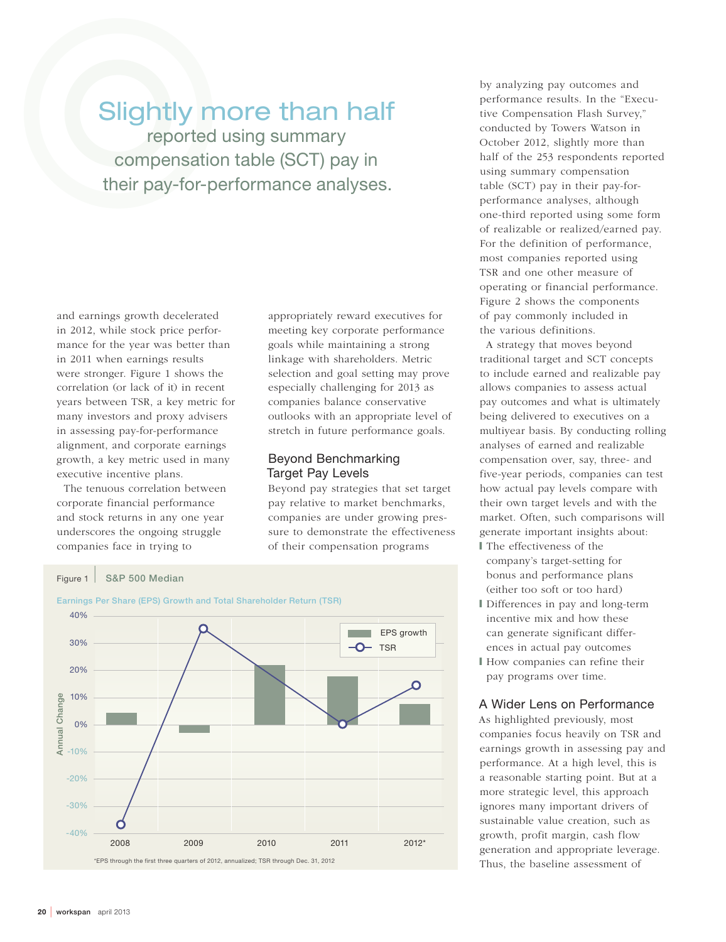# Slightly more than half

reported using summary compensation table (SCT) pay in their pay-for-performance analyses.

and earnings growth decelerated in 2012, while stock price performance for the year was better than in 2011 when earnings results were stronger. Figure 1 shows the correlation (or lack of it) in recent years between TSR, a key metric for many investors and proxy advisers in assessing pay-for-performance alignment, and corporate earnings growth, a key metric used in many executive incentive plans.

The tenuous correlation between corporate financial performance and stock returns in any one year underscores the ongoing struggle companies face in trying to

appropriately reward executives for meeting key corporate performance goals while maintaining a strong linkage with shareholders. Metric selection and goal setting may prove especially challenging for 2013 as companies balance conservative outlooks with an appropriate level of stretch in future performance goals.

## Beyond Benchmarking Target Pay Levels

Beyond pay strategies that set target pay relative to market benchmarks, companies are under growing pressure to demonstrate the effectiveness of their compensation programs



by analyzing pay outcomes and performance results. In the "Executive Compensation Flash Survey," conducted by Towers Watson in October 2012, slightly more than half of the 253 respondents reported using summary compensation table (SCT) pay in their pay-forperformance analyses, although one-third reported using some form of realizable or realized/earned pay. For the definition of performance, most companies reported using TSR and one other measure of operating or financial performance. Figure 2 shows the components of pay commonly included in the various definitions.

A strategy that moves beyond traditional target and SCT concepts to include earned and realizable pay allows companies to assess actual pay outcomes and what is ultimately being delivered to executives on a multiyear basis. By conducting rolling analyses of earned and realizable compensation over, say, three- and five-year periods, companies can test how actual pay levels compare with their own target levels and with the market. Often, such comparisons will generate important insights about: ❙ The effectiveness of the

- company's target-setting for bonus and performance plans (either too soft or too hard)
- ❙ Differences in pay and long-term incentive mix and how these can generate significant differences in actual pay outcomes
- ❙ How companies can refine their pay programs over time.

### A Wider Lens on Performance

As highlighted previously, most companies focus heavily on TSR and earnings growth in assessing pay and performance. At a high level, this is a reasonable starting point. But at a more strategic level, this approach ignores many important drivers of sustainable value creation, such as growth, profit margin, cash flow generation and appropriate leverage. Thus, the baseline assessment of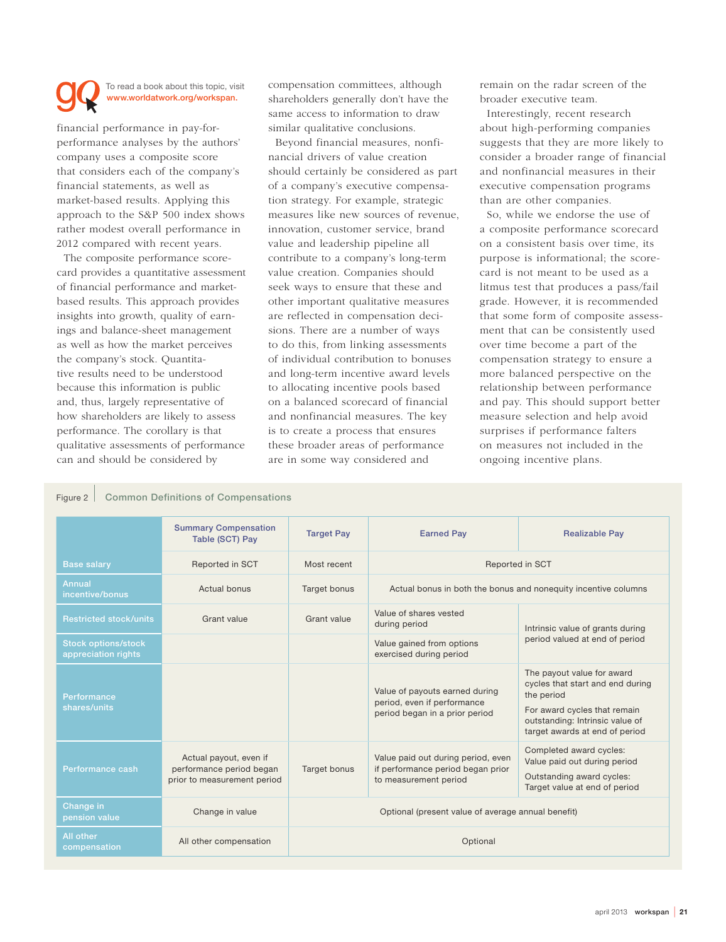### To read a book about this topic, visit www.worldatwork.org/workspan.

financial performance in pay-forperformance analyses by the authors' company uses a composite score that considers each of the company's financial statements, as well as market-based results. Applying this approach to the S&P 500 index shows rather modest overall performance in 2012 compared with recent years.

The composite performance scorecard provides a quantitative assessment of financial performance and marketbased results. This approach provides insights into growth, quality of earnings and balance-sheet management as well as how the market perceives the company's stock. Quantitative results need to be understood because this information is public and, thus, largely representative of how shareholders are likely to assess performance. The corollary is that qualitative assessments of performance can and should be considered by

compensation committees, although shareholders generally don't have the same access to information to draw similar qualitative conclusions.

Beyond financial measures, nonfinancial drivers of value creation should certainly be considered as part of a company's executive compensation strategy. For example, strategic measures like new sources of revenue, innovation, customer service, brand value and leadership pipeline all contribute to a company's long-term value creation. Companies should seek ways to ensure that these and other important qualitative measures are reflected in compensation decisions. There are a number of ways to do this, from linking assessments of individual contribution to bonuses and long-term incentive award levels to allocating incentive pools based on a balanced scorecard of financial and nonfinancial measures. The key is to create a process that ensures these broader areas of performance are in some way considered and

remain on the radar screen of the broader executive team.

Interestingly, recent research about high-performing companies suggests that they are more likely to consider a broader range of financial and nonfinancial measures in their executive compensation programs than are other companies.

So, while we endorse the use of a composite performance scorecard on a consistent basis over time, its purpose is informational; the scorecard is not meant to be used as a litmus test that produces a pass/fail grade. However, it is recommended that some form of composite assessment that can be consistently used over time become a part of the compensation strategy to ensure a more balanced perspective on the relationship between performance and pay. This should support better measure selection and help avoid surprises if performance falters on measures not included in the ongoing incentive plans.

### Figure 2 | Common Definitions of Compensations

|                                                   | <b>Summary Compensation</b><br>Table (SCT) Pay                                    | <b>Target Pay</b>                                  | <b>Earned Pay</b>                                                                                | <b>Realizable Pay</b>                                                                                                                                                             |  |
|---------------------------------------------------|-----------------------------------------------------------------------------------|----------------------------------------------------|--------------------------------------------------------------------------------------------------|-----------------------------------------------------------------------------------------------------------------------------------------------------------------------------------|--|
| <b>Base salary</b>                                | Reported in SCT                                                                   | Most recent                                        |                                                                                                  | Reported in SCT                                                                                                                                                                   |  |
| Annual<br>incentive/bonus                         | Actual bonus                                                                      | Target bonus                                       | Actual bonus in both the bonus and nonequity incentive columns                                   |                                                                                                                                                                                   |  |
| <b>Restricted stock/units</b>                     | Grant value                                                                       | Grant value                                        | Value of shares vested<br>during period                                                          | Intrinsic value of grants during<br>period valued at end of period                                                                                                                |  |
| <b>Stock options/stock</b><br>appreciation rights |                                                                                   |                                                    | Value gained from options<br>exercised during period                                             |                                                                                                                                                                                   |  |
| <b>Performance</b><br>shares/units                |                                                                                   |                                                    | Value of payouts earned during<br>period, even if performance<br>period began in a prior period  | The payout value for award<br>cycles that start and end during<br>the period<br>For award cycles that remain<br>outstanding: Intrinsic value of<br>target awards at end of period |  |
| Performance cash                                  | Actual payout, even if<br>performance period began<br>prior to measurement period | <b>Target bonus</b>                                | Value paid out during period, even<br>if performance period began prior<br>to measurement period | Completed award cycles:<br>Value paid out during period<br>Outstanding award cycles:<br>Target value at end of period                                                             |  |
| Change in<br>pension value                        | Change in value                                                                   | Optional (present value of average annual benefit) |                                                                                                  |                                                                                                                                                                                   |  |
| <b>All other</b><br>compensation                  | All other compensation                                                            | Optional                                           |                                                                                                  |                                                                                                                                                                                   |  |